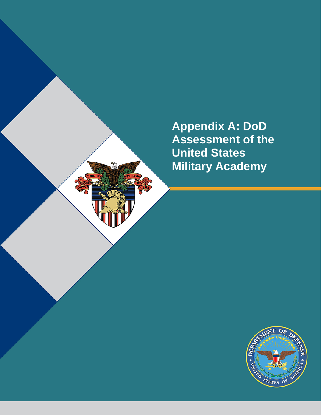**Appendix A: DoD Assessment of the United States Military Academy**

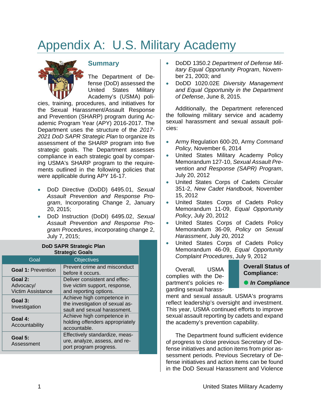# Appendix A: U.S. Military Academy



## **Summary**

The Department of Defense (DoD) assessed the United States Military Academy's (USMA) poli-

cies, training, procedures, and initiatives for the Sexual Harassment/Assault Response and Prevention (SHARP) program during Academic Program Year (APY) 2016-2017. The Department uses the structure of the *2017- 2021 DoD SAPR Strategic Plan* to organize its assessment of the SHARP program into five strategic goals. The Department assesses compliance in each strategic goal by comparing USMA's SHARP program to the requirements outlined in the following policies that were applicable during APY 16-17.

- DoD Directive (DoDD) 6495.01, *Sexual Assault Prevention and Response Program*, Incorporating Change 2, January 20, 2015;
- DoD Instruction (DoDI) 6495.02, *Sexual Assault Prevention and Response Program Procedures*, incorporating change 2, July 7, 2015;

| <b>Strategic Goals</b>                           |                                                                                               |
|--------------------------------------------------|-----------------------------------------------------------------------------------------------|
| Goal                                             | <b>Objectives</b>                                                                             |
| <b>Goal 1: Prevention</b>                        | Prevent crime and misconduct<br>before it occurs.                                             |
| Goal 2:<br>Advocacy/<br><b>Victim Assistance</b> | Deliver consistent and effec-<br>tive victim support, response,<br>and reporting options.     |
| Goal 3:<br>Investigation                         | Achieve high competence in<br>the investigation of sexual as-<br>sault and sexual harassment. |
| Goal 4:<br>Accountability                        | Achieve high competence in<br>holding offenders appropriately<br>accountable.                 |
| Goal 5:<br>Assessment                            | Effectively standardize, meas-<br>ure, analyze, assess, and re-<br>port program progress.     |

## **DoD SAPR Strategic Plan**

- DoDD 1350.2 *Department of Defense Military Equal Opportunity Program*, November 21, 2003; and
- DoDD 1020.02E *Diversity Management and Equal Opportunity in the Department of Defense*, June 8, 2015.

Additionally, the Department referenced the following military service and academy sexual harassment and sexual assault policies:

- Army Regulation 600-20, Army *Command Policy,* November 6, 2014
- United States Military Academy Policy Memorandum 127-10, *Sexual Assault Prevention and Response (SAPR) Program*, July 20, 2012
- United States Corps of Cadets Circular 351-2, *New Cadet Handbook,* November 15, 2012
- United States Corps of Cadets Policy Memorandum 11-09, *Equal Opportunity Policy*, July 20, 2012
- United States Corps of Cadets Policy Memorandum 36-09, *Policy on Sexual Harassment*, July 20, 2012
- United States Corps of Cadets Policy Memorandum 46-09, *Equal Opportunity Complaint Procedures*, July 9, 2012

Overall, USMA complies with the Department's policies regarding sexual harass-

#### **Overall Status of Compliance:**

**•** In Compliance

ment and sexual assault. USMA's programs reflect leadership's oversight and investment. This year, USMA continued efforts to improve sexual assault reporting by cadets and expand the academy's prevention capability.

The Department found sufficient evidence of progress to close previous Secretary of Defense initiatives and action items from prior assessment periods. Previous Secretary of Defense initiatives and action items can be found in the DoD Sexual Harassment and Violence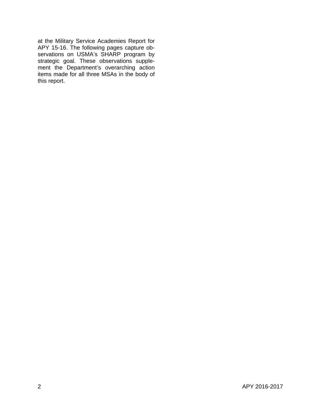at the Military Service Academies Report for APY 15-16. The following pages capture observations on USMA's SHARP program by strategic goal. These observations supplement the Department's overarching action items made for all three MSAs in the body of this report.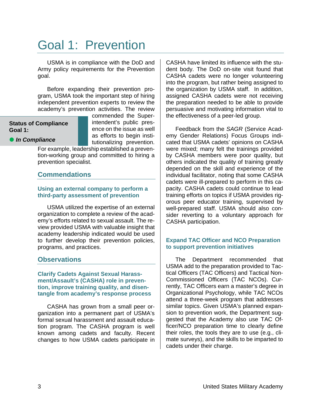## Goal 1: Prevention

USMA is in compliance with the DoD and Army policy requirements for the Prevention goal.

Before expanding their prevention program, USMA took the important step of hiring independent prevention experts to review the academy's prevention activities. The review

#### **Status of Compliance Goal 1:**

commended the Superintendent's public presence on the issue as well as efforts to begin institutionalizing prevention.

**•** In Compliance

For example, leadership established a prevention-working group and committed to hiring a prevention specialist.

## **Commendations**

#### **Using an external company to perform a third-party assessment of prevention**

USMA utilized the expertise of an external organization to complete a review of the academy's efforts related to sexual assault. The review provided USMA with valuable insight that academy leadership indicated would be used to further develop their prevention policies, programs, and practices.

### **Observations**

#### **Clarify Cadets Against Sexual Harassment/Assault's (CASHA) role in prevention, improve training quality, and disentangle from academy's response process**

CASHA has grown from a small peer organization into a permanent part of USMA's formal sexual harassment and assault education program. The CASHA program is well known among cadets and faculty. Recent changes to how USMA cadets participate in CASHA have limited its influence with the student body. The DoD on-site visit found that CASHA cadets were no longer volunteering into the program, but rather being assigned to the organization by USMA staff. In addition, assigned CASHA cadets were not receiving the preparation needed to be able to provide persuasive and motivating information vital to the effectiveness of a peer-led group.

Feedback from the *SAGR* (Service Academy Gender Relations) Focus Groups indicated that USMA cadets' opinions on CASHA were mixed; many felt the trainings provided by CASHA members were poor quality, but others indicated the quality of training greatly depended on the skill and experience of the individual facilitator, noting that some CASHA cadets were ill-prepared to perform in this capacity. CASHA cadets could continue to lead training efforts on topics if USMA provides rigorous peer educator training, supervised by well-prepared staff. USMA should also consider reverting to a voluntary approach for CASHA participation.

#### **Expand TAC Officer and NCO Preparation to support prevention initiatives**

The Department recommended that USMA add to the preparation provided to Tactical Officers (TAC Officers) and Tactical Non-Commissioned Officers (TAC NCOs). Currently, TAC Officers earn a master's degree in Organizational Psychology, while TAC NCOs attend a three-week program that addresses similar topics. Given USMA's planned expansion to prevention work, the Department suggested that the Academy also use TAC Officer/NCO preparation time to clearly define their roles, the tools they are to use (e.g., climate surveys), and the skills to be imparted to cadets under their charge.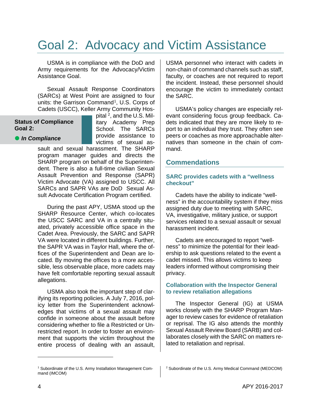## Goal 2: Advocacy and Victim Assistance

USMA is in compliance with the DoD and Army requirements for the Advocacy/Victim Assistance Goal.

Sexual Assault Response Coordinators (SARCs) at West Point are assigned to four units: the Garrison Command<sup>1</sup>, U.S. Corps of Cadets (USCC), Keller Army Community Hos-

#### **Status of Compliance Goal 2:**

**•** In Compliance

pital  $2$ , and the U.S. Military Academy Prep School. The SARCs provide assistance to victims of sexual as-

sault and sexual harassment. The SHARP program manager guides and directs the SHARP program on behalf of the Superintendent. There is also a full-time civilian Sexual Assault Prevention and Response (SAPR) Victim Advocate (VA) assigned to USCC. All SARCs and SAPR VAs are DoD Sexual Assult Advocate Certification Program certified.

During the past APY, USMA stood up the SHARP Resource Center, which co-locates the USCC SARC and VA in a centrally situated, privately accessible office space in the Cadet Area. Previously, the SARC and SAPR VA were located in different buildings. Further, the SAPR VA was in Taylor Hall, where the offices of the Superintendent and Dean are located. By moving the offices to a more accessible, less observable place, more cadets may have felt comfortable reporting sexual assault allegations.

USMA also took the important step of clarifying its reporting policies. A July 7, 2016, policy letter from the Superintendent acknowledges that victims of a sexual assault may confide in someone about the assault before considering whether to file a Restricted or Unrestricted report. In order to foster an environment that supports the victim throughout the entire process of dealing with an assault,

USMA personnel who interact with cadets in non-chain of command channels such as staff, faculty, or coaches are not required to report the incident. Instead, these personnel should encourage the victim to immediately contact the SARC.

USMA's policy changes are especially relevant considering focus group feedback. Cadets indicated that they are more likely to report to an individual they trust. They often see peers or coaches as more approachable alternatives than someone in the chain of command.

## **Commendations**

#### **SARC provides cadets with a "wellness checkout"**

Cadets have the ability to indicate "wellness" in the accountability system if they miss assigned duty due to meeting with SARC, VA, investigative, military justice, or support services related to a sexual assault or sexual harassment incident.

Cadets are encouraged to report "wellness" to minimize the potential for their leadership to ask questions related to the event a cadet missed. This allows victims to keep leaders informed without compromising their privacy.

#### **Collaboration with the Inspector General to review retaliation allegations**

The Inspector General (IG) at USMA works closely with the SHARP Program Manager to review cases for evidence of retaliation or reprisal. The IG also attends the monthly Sexual Assault Review Board (SARB) and collaborates closely with the SARC on matters related to retaliation and reprisal.

 $\overline{a}$ 

<span id="page-4-0"></span><sup>1</sup> Subordinate of the U.S. Army Installation Management Command (IMCOM)

<sup>2</sup> Subordinate of the U.S. Army Medical Command (MEDCOM)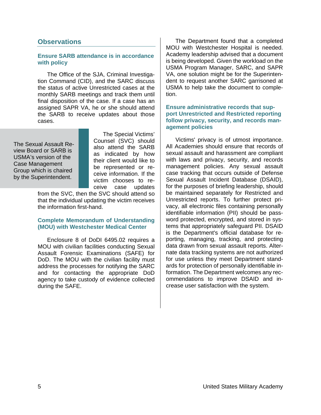## **Observations**

#### **Ensure SARB attendance is in accordance with policy**

The Office of the SJA, Criminal Investigation Command (CID), and the SARC discuss the status of active Unrestricted cases at the monthly SARB meetings and track them until final disposition of the case. If a case has an assigned SAPR VA, he or she should attend the SARB to receive updates about those cases.

The Sexual Assault Review Board or SARB is USMA's version of the Case Management Group which is chaired by the Superintendent.

The Special Victims' Counsel (SVC) should also attend the SARB as indicated by how their client would like to be represented or receive information. If the victim chooses to receive case updates

from the SVC, then the SVC should attend so that the individual updating the victim receives the information first-hand.

#### **Complete Memorandum of Understanding (MOU) with Westchester Medical Center**

Enclosure 8 of DoDI 6495.02 requires a MOU with civilian facilities conducting Sexual Assault Forensic Examinations (SAFE) for DoD. The MOU with the civilian facility must address the processes for notifying the SARC and for contacting the appropriate DoD agency to take custody of evidence collected during the SAFE.

The Department found that a completed MOU with Westchester Hospital is needed. Academy leadership advised that a document is being developed. Given the workload on the USMA Program Manager, SARC, and SAPR VA, one solution might be for the Superintendent to request another SARC garrisoned at USMA to help take the document to completion.

#### **Ensure administrative records that support Unrestricted and Restricted reporting follow privacy, security, and records management policies**

Victims' privacy is of utmost importance. All Academies should ensure that records of sexual assault and harassment are compliant with laws and privacy, security, and records management policies. Any sexual assault case tracking that occurs outside of Defense Sexual Assault Incident Database (DSAID), for the purposes of briefing leadership, should be maintained separately for Restricted and Unrestricted reports. To further protect privacy, all electronic files containing personally identifiable information (PII) should be password protected, encrypted, and stored in systems that appropriately safeguard PII. DSAID is the Department's official database for reporting, managing, tracking, and protecting data drawn from sexual assault reports. Alternate data tracking systems are not authorized for use unless they meet Department standards for protection of personally identifiable information. The Department welcomes any recommendations to improve DSAID and increase user satisfaction with the system.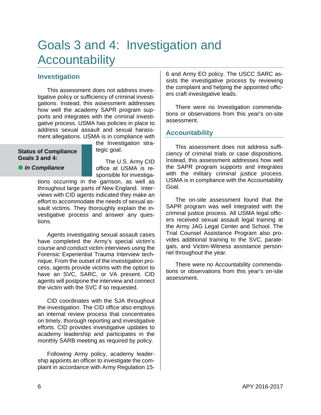## Goals 3 and 4: Investigation and **Accountability**

## **Investigation**

This assessment does not address investigative policy or sufficiency of criminal investigations. Instead, this assessment addresses how well the academy SAPR program supports and integrates with the criminal investigative process. USMA has policies in place to address sexual assault and sexual harassment allegations. USMA is in compliance with

#### **Status of Compliance Goals 3 and 4:**

tegic goal.

**•** In Compliance

The U.S. Army CID office at USMA is responsible for investiga-

the Investigation stra-

tions occurring in the garrison, as well as throughout large parts of New England. Interviews with CID agents indicated they make an effort to accommodate the needs of sexual assault victims. They thoroughly explain the investigative process and answer any questions.

Agents investigating sexual assault cases have completed the Army's special victim's course and conduct victim interviews using the Forensic Experiential Trauma Interview technique. From the outset of the investigation process, agents provide victims with the option to have an SVC, SARC, or VA present. CID agents will postpone the interview and connect the victim with the SVC if so requested.

CID coordinates with the SJA throughout the investigation. The CID office also employs an internal review process that concentrates on timely, thorough reporting and investigative efforts. CID provides investigative updates to academy leadership and participates in the monthly SARB meeting as required by policy.

Following Army policy, academy leadership appoints an officer to investigate the complaint in accordance with Army Regulation 156 and Army EO policy. The USCC SARC assists the investigative process by reviewing the complaint and helping the appointed officers craft investigative leads.

There were no Investigation commendations or observations from this year's on-site assessment.

## **Accountability**

This assessment does not address sufficiency of criminal trials or case dispositions. Instead, this assessment addresses how well the SAPR program supports and integrates with the military criminal justice process. USMA is in compliance with the Accountability Goal.

The on-site assessment found that the SAPR program was well integrated with the criminal justice process. All USMA legal officers received sexual assault legal training at the Army JAG Legal Center and School. The Trial Counsel Assistance Program also provides additional training to the SVC, paralegals, and Victim-Witness assistance personnel throughout the year.

There were no Accountability commendations or observations from this year's on-site assessment.